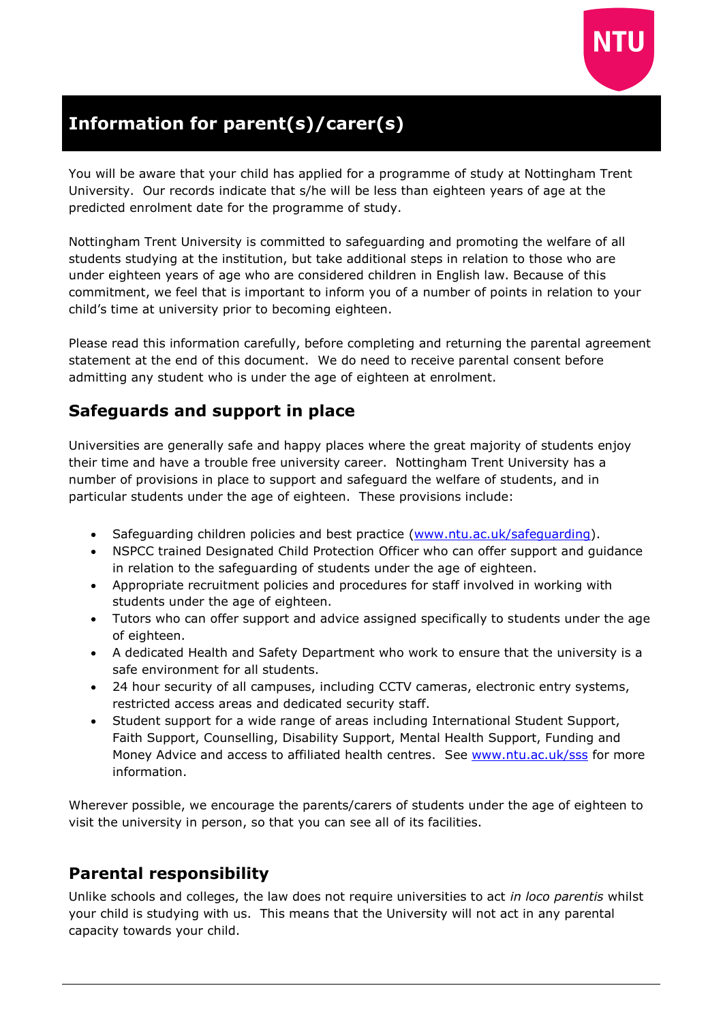

# **Information for parent(s)/carer(s)**

You will be aware that your child has applied for a programme of study at Nottingham Trent University. Our records indicate that s/he will be less than eighteen years of age at the predicted enrolment date for the programme of study.

Nottingham Trent University is committed to safeguarding and promoting the welfare of all students studying at the institution, but take additional steps in relation to those who are under eighteen years of age who are considered children in English law. Because of this commitment, we feel that is important to inform you of a number of points in relation to your child's time at university prior to becoming eighteen.

Please read this information carefully, before completing and returning the parental agreement statement at the end of this document. We do need to receive parental consent before admitting any student who is under the age of eighteen at enrolment.

### **Safeguards and support in place**

Universities are generally safe and happy places where the great majority of students enjoy their time and have a trouble free university career. Nottingham Trent University has a number of provisions in place to support and safeguard the welfare of students, and in particular students under the age of eighteen. These provisions include:

- Safeguarding children policies and best practice [\(www.ntu.ac.uk/safeguarding\)](http://www.ntu.ac.uk/safeguarding).
- NSPCC trained Designated Child Protection Officer who can offer support and guidance in relation to the safeguarding of students under the age of eighteen.
- Appropriate recruitment policies and procedures for staff involved in working with students under the age of eighteen.
- Tutors who can offer support and advice assigned specifically to students under the age of eighteen.
- A dedicated Health and Safety Department who work to ensure that the university is a safe environment for all students.
- 24 hour security of all campuses, including CCTV cameras, electronic entry systems, restricted access areas and dedicated security staff.
- Student support for a wide range of areas including International Student Support, Faith Support, Counselling, Disability Support, Mental Health Support, Funding and Money Advice and access to affiliated health centres. See [www.ntu.ac.uk/sss](http://www.ntu.ac.uk/sss) for more information.

Wherever possible, we encourage the parents/carers of students under the age of eighteen to visit the university in person, so that you can see all of its facilities.

## **Parental responsibility**

Unlike schools and colleges, the law does not require universities to act *in loco parentis* whilst your child is studying with us. This means that the University will not act in any parental capacity towards your child.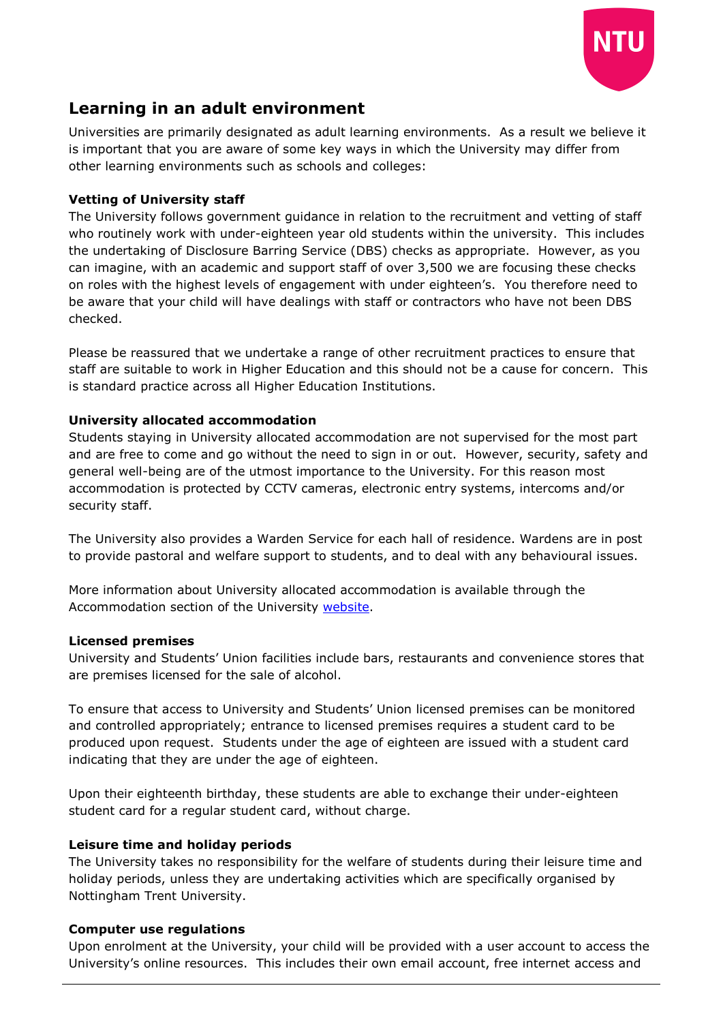

## **Learning in an adult environment**

Universities are primarily designated as adult learning environments. As a result we believe it is important that you are aware of some key ways in which the University may differ from other learning environments such as schools and colleges:

#### **Vetting of University staff**

The University follows government guidance in relation to the recruitment and vetting of staff who routinely work with under-eighteen year old students within the university. This includes the undertaking of Disclosure Barring Service (DBS) checks as appropriate. However, as you can imagine, with an academic and support staff of over 3,500 we are focusing these checks on roles with the highest levels of engagement with under eighteen's. You therefore need to be aware that your child will have dealings with staff or contractors who have not been DBS checked.

Please be reassured that we undertake a range of other recruitment practices to ensure that staff are suitable to work in Higher Education and this should not be a cause for concern. This is standard practice across all Higher Education Institutions.

#### **University allocated accommodation**

Students staying in University allocated accommodation are not supervised for the most part and are free to come and go without the need to sign in or out. However, security, safety and general well-being are of the utmost importance to the University. For this reason most accommodation is protected by CCTV cameras, electronic entry systems, intercoms and/or security staff.

The University also provides a Warden Service for each hall of residence. Wardens are in post to provide pastoral and welfare support to students, and to deal with any behavioural issues.

More information about University allocated accommodation is available through the Accommodation section of the University [website.](http://www.ntu.ac.uk/study_with_us/accommodation/)

#### **Licensed premises**

University and Students' Union facilities include bars, restaurants and convenience stores that are premises licensed for the sale of alcohol.

To ensure that access to University and Students' Union licensed premises can be monitored and controlled appropriately; entrance to licensed premises requires a student card to be produced upon request. Students under the age of eighteen are issued with a student card indicating that they are under the age of eighteen.

Upon their eighteenth birthday, these students are able to exchange their under-eighteen student card for a regular student card, without charge.

#### **Leisure time and holiday periods**

The University takes no responsibility for the welfare of students during their leisure time and holiday periods, unless they are undertaking activities which are specifically organised by Nottingham Trent University.

#### **Computer use regulations**

Upon enrolment at the University, your child will be provided with a user account to access the University's online resources. This includes their own email account, free internet access and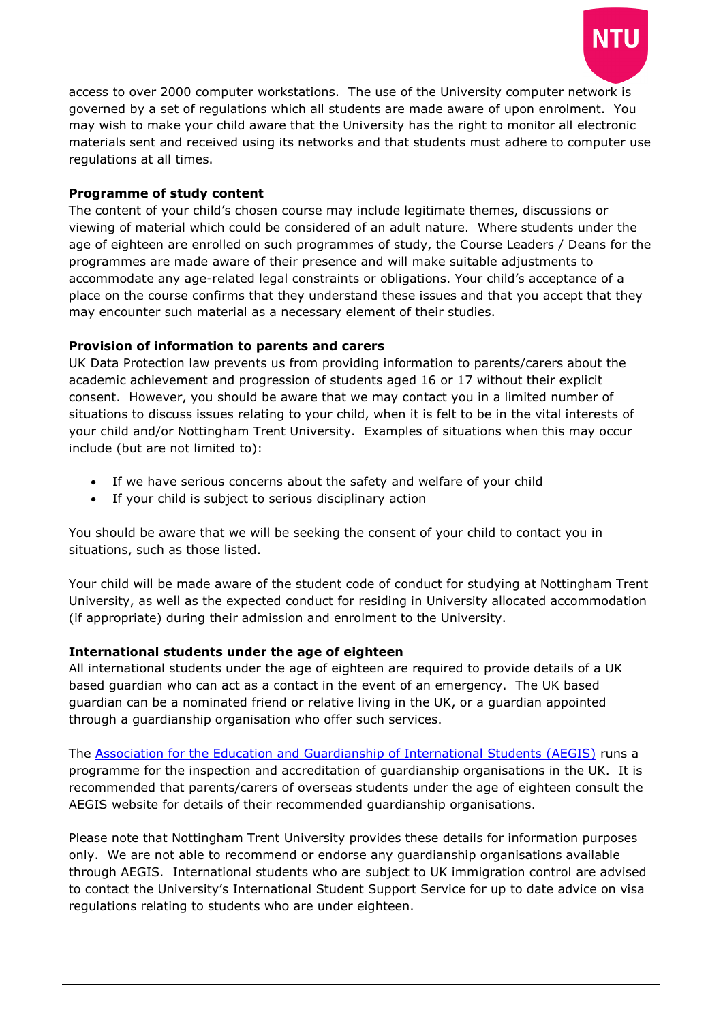

access to over 2000 computer workstations. The use of the University computer network is governed by a set of regulations which all students are made aware of upon enrolment. You may wish to make your child aware that the University has the right to monitor all electronic materials sent and received using its networks and that students must adhere to computer use regulations at all times.

#### **Programme of study content**

The content of your child's chosen course may include legitimate themes, discussions or viewing of material which could be considered of an adult nature. Where students under the age of eighteen are enrolled on such programmes of study, the Course Leaders / Deans for the programmes are made aware of their presence and will make suitable adjustments to accommodate any age-related legal constraints or obligations. Your child's acceptance of a place on the course confirms that they understand these issues and that you accept that they may encounter such material as a necessary element of their studies.

#### **Provision of information to parents and carers**

UK Data Protection law prevents us from providing information to parents/carers about the academic achievement and progression of students aged 16 or 17 without their explicit consent. However, you should be aware that we may contact you in a limited number of situations to discuss issues relating to your child, when it is felt to be in the vital interests of your child and/or Nottingham Trent University. Examples of situations when this may occur include (but are not limited to):

- If we have serious concerns about the safety and welfare of your child
- If your child is subject to serious disciplinary action

You should be aware that we will be seeking the consent of your child to contact you in situations, such as those listed.

Your child will be made aware of the student code of conduct for studying at Nottingham Trent University, as well as the expected conduct for residing in University allocated accommodation (if appropriate) during their admission and enrolment to the University.

#### **International students under the age of eighteen**

All international students under the age of eighteen are required to provide details of a UK based guardian who can act as a contact in the event of an emergency. The UK based guardian can be a nominated friend or relative living in the UK, or a guardian appointed through a guardianship organisation who offer such services.

The [Association for the Education and Guardianship of International Students \(AEGIS\)](http://www.aegisuk.net/) runs a programme for the inspection and accreditation of guardianship organisations in the UK. It is recommended that parents/carers of overseas students under the age of eighteen consult the AEGIS website for details of their recommended guardianship organisations.

Please note that Nottingham Trent University provides these details for information purposes only. We are not able to recommend or endorse any guardianship organisations available through AEGIS. International students who are subject to UK immigration control are advised to contact the University's International Student Support Service for up to date advice on visa regulations relating to students who are under eighteen.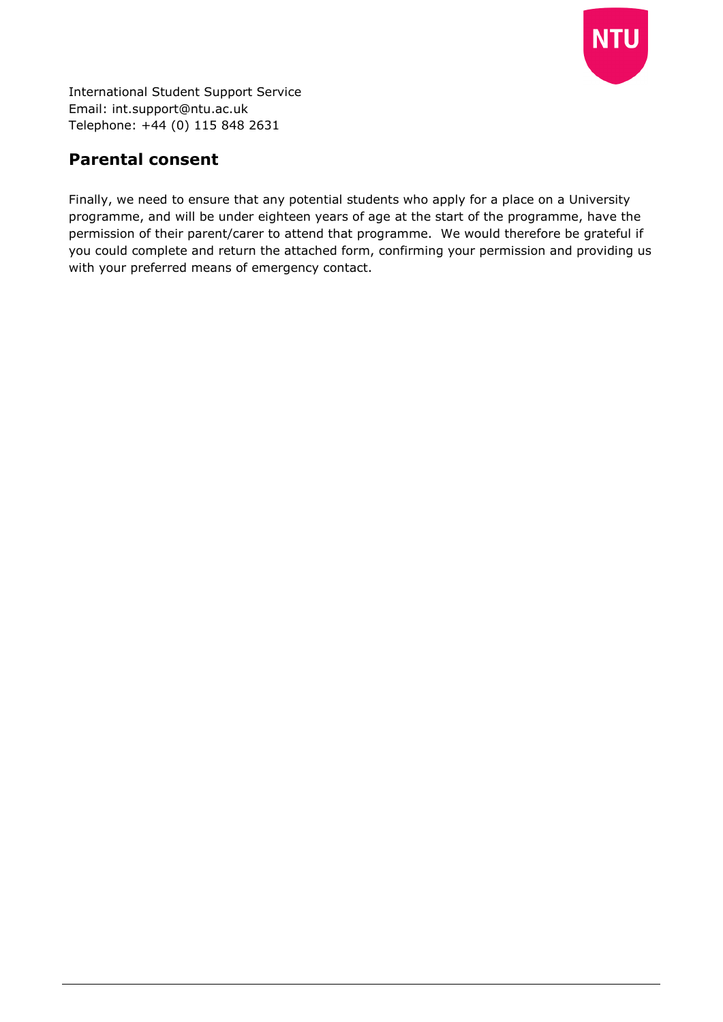

International Student Support Service Email: [int.support@ntu.ac.uk](mailto:int.support@ntu.ac.uk)  Telephone: +44 (0) 115 848 2631

# **Parental consent**

Finally, we need to ensure that any potential students who apply for a place on a University programme, and will be under eighteen years of age at the start of the programme, have the permission of their parent/carer to attend that programme. We would therefore be grateful if you could complete and return the attached form, confirming your permission and providing us with your preferred means of emergency contact.